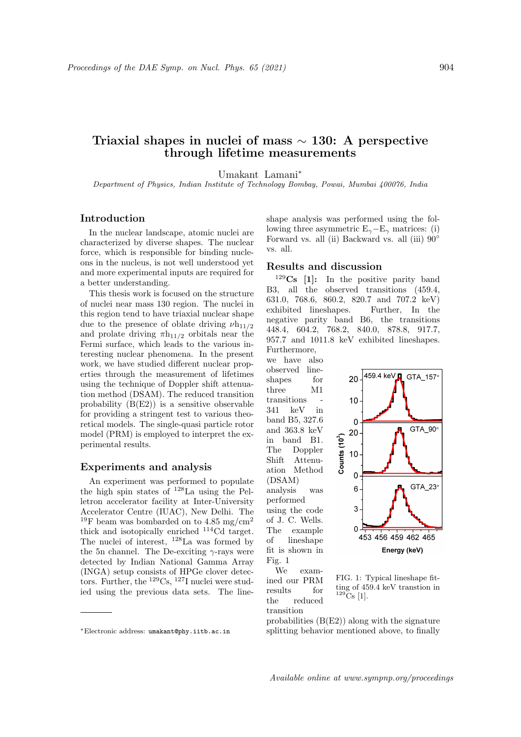# Triaxial shapes in nuclei of mass ∼ 130: A perspective through lifetime measurements

Umakant Lamani<sup>∗</sup>

Department of Physics, Indian Institute of Technology Bombay, Powai, Mumbai 400076, India

#### Introduction

In the nuclear landscape, atomic nuclei are characterized by diverse shapes. The nuclear force, which is responsible for binding nucleons in the nucleus, is not well understood yet and more experimental inputs are required for a better understanding.

This thesis work is focused on the structure of nuclei near mass 130 region. The nuclei in this region tend to have triaxial nuclear shape due to the presence of oblate driving  $\nu h_{11/2}$ and prolate driving  $\pi h_{11/2}$  orbitals near the Fermi surface, which leads to the various interesting nuclear phenomena. In the present work, we have studied different nuclear properties through the measurement of lifetimes using the technique of Doppler shift attenuation method (DSAM). The reduced transition probability  $(B(E2))$  is a sensitive observable for providing a stringent test to various theoretical models. The single-quasi particle rotor model (PRM) is employed to interpret the experimental results.

#### Experiments and analysis

An experiment was performed to populate the high spin states of <sup>128</sup>La using the Pelletron accelerator facility at Inter-University Accelerator Centre (IUAC), New Delhi. The <sup>19</sup>F beam was bombarded on to 4.85 mg/cm<sup>2</sup> thick and isotopically enriched <sup>114</sup>Cd target. The nuclei of interest, <sup>128</sup>La was formed by the 5n channel. The De-exciting  $\gamma$ -rays were detected by Indian National Gamma Array (INGA) setup consists of HPGe clover detectors. Further, the  $^{129}Cs$ ,  $^{127}I$  nuclei were studied using the previous data sets. The lineshape analysis was performed using the following three asymmetric  $E_{\gamma}$ – $E_{\gamma}$  matrices: (i) Forward vs. all (ii) Backward vs. all (iii) 90◦ vs. all.

### Results and discussion

 $129Cs$  [1]: In the positive parity band B3, all the observed transitions (459.4, 631.0, 768.6, 860.2, 820.7 and 707.2 keV) exhibited lineshapes. Further, In the negative parity band B6, the transitions 448.4, 604.2, 768.2, 840.0, 878.8, 917.7, 957.7 and 1011.8 keV exhibited lineshapes. Furthermore,

we have also observed lineshapes for three M1 transitions 341 keV in band B5, 327.6 and 363.8 keV in band B1. The Doppler Shift Attenuation Method (DSAM) analysis was performed using the code of J. C. Wells. The example of lineshape fit is shown in Fig. 1 We examined our PRM

results for the reduced transition





probabilities  $(B(E2))$  along with the signature splitting behavior mentioned above, to finally

<sup>∗</sup>Electronic address: umakant@phy.iitb.ac.in